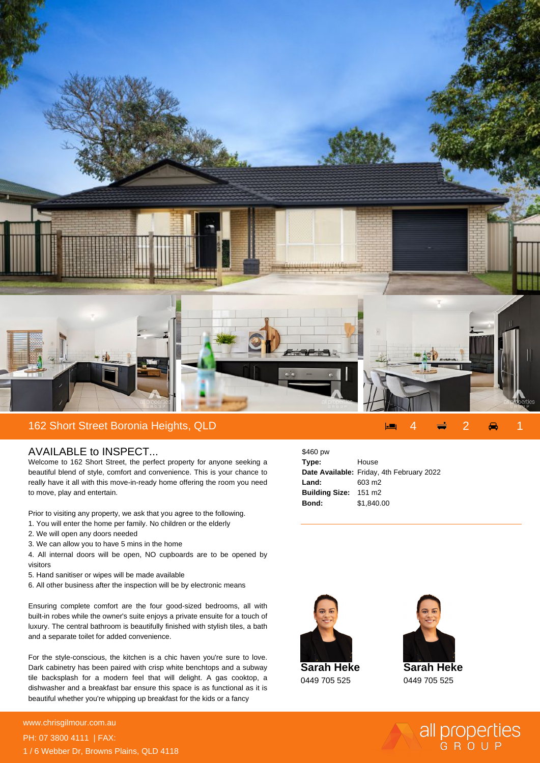

## AVAILABLE to INSPECT...

Welcome to 162 Short Street, the perfect property for anyone seeking a beautiful blend of style, comfort and convenience. This is your chance to really have it all with this move-in-ready home offering the room you need to move, play and entertain.

Prior to visiting any property, we ask that you agree to the following.

- 1. You will enter the home per family. No children or the elderly
- 2. We will open any doors needed
- 3. We can allow you to have 5 mins in the home

4. All internal doors will be open, NO cupboards are to be opened by visitors

- 5. Hand sanitiser or wipes will be made available
- 6. All other business after the inspection will be by electronic means

Ensuring complete comfort are the four good-sized bedrooms, all with built-in robes while the owner's suite enjoys a private ensuite for a touch of luxury. The central bathroom is beautifully finished with stylish tiles, a bath and a separate toilet for added convenience.

For the style-conscious, the kitchen is a chic haven you're sure to love. Dark cabinetry has been paired with crisp white benchtops and a subway tile backsplash for a modern feel that will delight. A gas cooktop, a dishwasher and a breakfast bar ensure this space is as functional as it is beautiful whether you're whipping up breakfast for the kids or a fancy

\$460 pw **Type:** House **Date Available:** Friday, 4th February 2022 **Land:** 603 m2 **Building Size:** 151 m2 **Bond:** \$1,840.00



**Sarah Heke** 0449 705 525



**Sarah Heke** 0449 705 525

all properties

## **For more details please visit** www.chrisgilmour.com.au/<sub>683</sub> PH: 07 3800 4111 | FAX: 1 / 6 Webber Dr, Browns Plains, QLD 4118